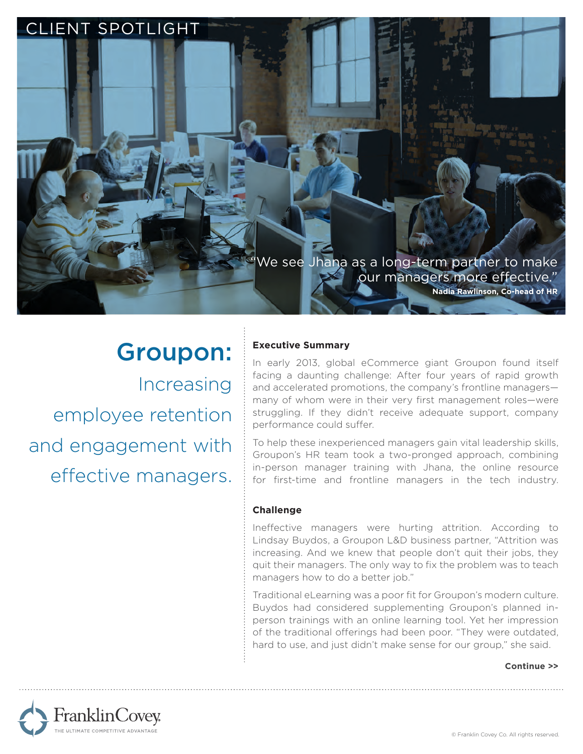

# Groupon: Increasing employee retention and engagement with effective managers.

# **Executive Summary**

In early 2013, global eCommerce giant Groupon found itself facing a daunting challenge: After four years of rapid growth and accelerated promotions, the company's frontline managers many of whom were in their very first management roles—were struggling. If they didn't receive adequate support, company performance could suffer.

To help these inexperienced managers gain vital leadership skills, Groupon's HR team took a two-pronged approach, combining in-person manager training with Jhana, the online resource for first-time and frontline managers in the tech industry.

## **Challenge**

Ineffective managers were hurting attrition. According to Lindsay Buydos, a Groupon L&D business partner, "Attrition was increasing. And we knew that people don't quit their jobs, they quit their managers. The only way to fix the problem was to teach managers how to do a better job."

Traditional eLearning was a poor fit for Groupon's modern culture. Buydos had considered supplementing Groupon's planned inperson trainings with an online learning tool. Yet her impression of the traditional offerings had been poor. "They were outdated, hard to use, and just didn't make sense for our group," she said.

#### **Continue >>**

FranklinCovey -<br>HE ULTIMATE COMPETITIVE ADVANTAGE